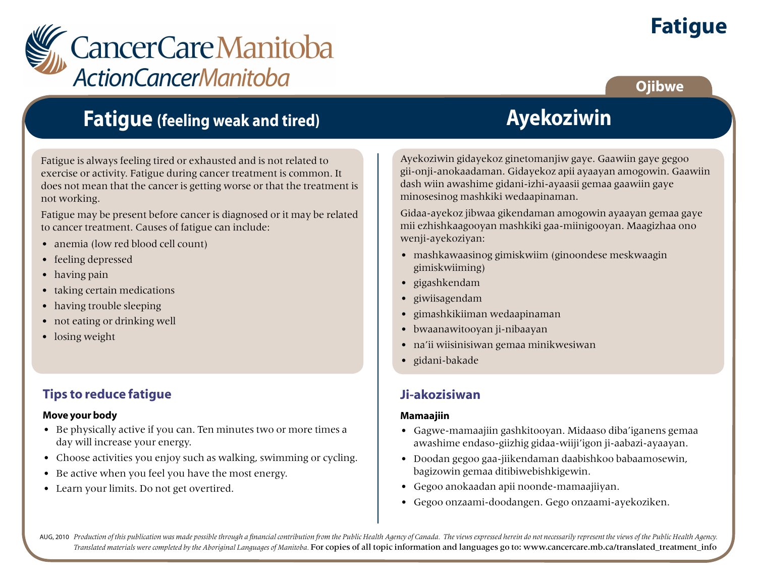

# **Fatigue**

## **Ojibwe**

# **Fatigue (feeling weak and tired)**

Fatigue is always feeling tired or exhausted and is not related to exercise or activity. Fatigue during cancer treatment is common. It does not mean that the cancer is getting worse or that the treatment is not working.

Fatigue may be present before cancer is diagnosed or it may be related to cancer treatment. Causes of fatigue can include:

- anemia (low red blood cell count)
- feeling depressed
- having pain
- taking certain medications
- having trouble sleeping
- not eating or drinking well
- losing weight

### **Tips to reduce fatigue**

#### **Move your body**

- Be physically active if you can. Ten minutes two or more times a day will increase your energy.
- Choose activities you enjoy such as walking, swimming or cycling.
- Be active when you feel you have the most energy.
- Learn your limits. Do not get overtired.

**Ayekoziwin**

Ayekoziwin gidayekoz ginetomanjiw gaye. Gaawiin gaye gegoo gii-onji-anokaadaman. Gidayekoz apii ayaayan amogowin. Gaawiin dash wiin awashime gidani-izhi-ayaasii gemaa gaawiin gaye minosesinog mashkiki wedaapinaman.

Gidaa-ayekoz jibwaa gikendaman amogowin ayaayan gemaa gaye mii ezhishkaagooyan mashkiki gaa-miinigooyan. Maagizhaa ono wenji-ayekoziyan:

- mashkawaasinog gimiskwiim (ginoondese meskwaagin gimiskwiiming)
- gigashkendam
- giwiisagendam
- gimashkikiiman wedaapinaman
- bwaanawitooyan ji-nibaayan
- na'ii wiisinisiwan gemaa minikwesiwan
- gidani-bakade

## **Ji-akozisiwan**

#### **Mamaajiin**

- Gagwe-mamaajiin gashkitooyan. Midaaso diba'iganens gemaa awashime endaso-giizhig gidaa-wiiji'igon ji-aabazi-ayaayan.
- Doodan gegoo gaa-jiikendaman daabishkoo babaamosewin, bagizowin gemaa ditibiwebishkigewin.
- Gegoo anokaadan apii noonde-mamaajiiyan.
- Gegoo onzaami-doodangen. Gego onzaami-ayekoziken.

AUG, 2010 Production of this publication was made possible through a financial contribution from the Public Health Agency of Canada. The views expressed herein do not necessarily represent the views of the Public Health Ag *Translated materials were completed by the Aboriginal Languages of Manitoba.* For copies of all topic information and languages go to: www.cancercare.mb.ca/translated\_treatment\_info